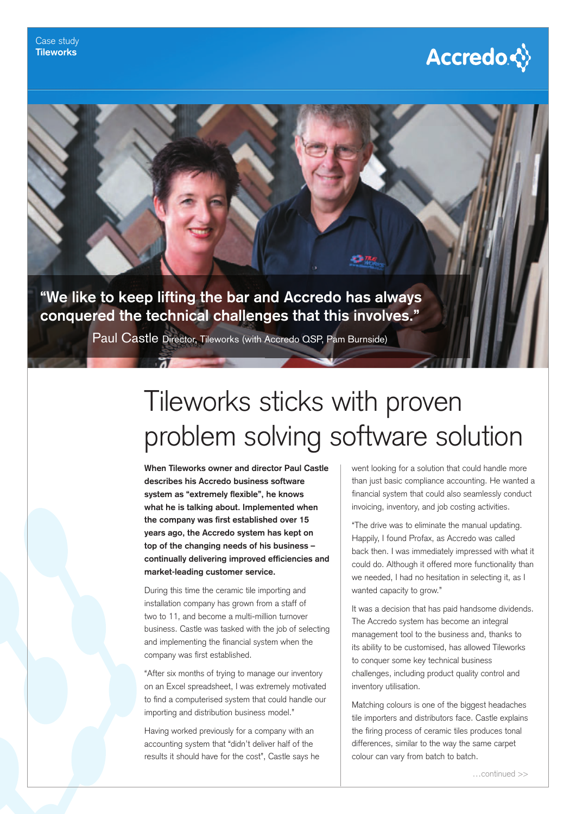



## Tileworks sticks with proven problem solving software solution

**When Tileworks owner and director Paul Castle describes his Accredo business software**  system as "extremely flexible", he knows **what he is talking about. Implemented when**  the company was first established over 15 **years ago, the Accredo system has kept on top of the changing needs of his business –**  continually delivering improved efficiencies and **market-leading customer service.**

During this time the ceramic tile importing and installation company has grown from a staff of two to 11, and become a multi-million turnover business. Castle was tasked with the job of selecting and implementing the financial system when the company was first established.

"After six months of trying to manage our inventory on an Excel spreadsheet, I was extremely motivated to find a computerised system that could handle our importing and distribution business model."

Having worked previously for a company with an accounting system that "didn't deliver half of the results it should have for the cost", Castle says he went looking for a solution that could handle more than just basic compliance accounting. He wanted a financial system that could also seamlessly conduct invoicing, inventory, and job costing activities.

"The drive was to eliminate the manual updating. Happily, I found Profax, as Accredo was called back then. I was immediately impressed with what it could do. Although it offered more functionality than we needed, I had no hesitation in selecting it, as I wanted capacity to grow."

It was a decision that has paid handsome dividends. The Accredo system has become an integral management tool to the business and, thanks to its ability to be customised, has allowed Tileworks to conquer some key technical business challenges, including product quality control and inventory utilisation.

Matching colours is one of the biggest headaches tile importers and distributors face. Castle explains the firing process of ceramic tiles produces tonal differences, similar to the way the same carpet colour can vary from batch to batch.